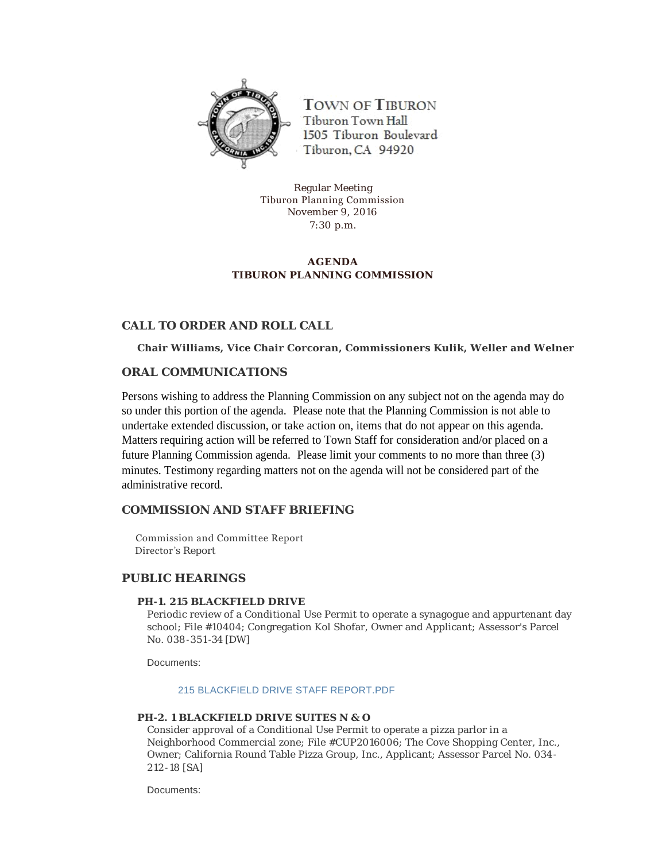

**TOWN OF TIBURON** Tiburon Town Hall 1505 Tiburon Boulevard Tiburon, CA 94920

Regular Meeting Tiburon Planning Commission November 9, 2016 7:30 p.m.

# **AGENDA TIBURON PLANNING COMMISSION**

# **CALL TO ORDER AND ROLL CALL**

**Chair Williams, Vice Chair Corcoran, Commissioners Kulik, Weller and Welner**

# **ORAL COMMUNICATIONS**

Persons wishing to address the Planning Commission on any subject not on the agenda may do so under this portion of the agenda. Please note that the Planning Commission is not able to undertake extended discussion, or take action on, items that do not appear on this agenda. Matters requiring action will be referred to Town Staff for consideration and/or placed on a future Planning Commission agenda. Please limit your comments to no more than three (3) minutes. Testimony regarding matters not on the agenda will not be considered part of the administrative record.

# **COMMISSION AND STAFF BRIEFING**

 Commission and Committee Report Director 's Report

### **PUBLIC HEARINGS**

### **PH-1. 215 BLACKFIELD DRIVE**

Periodic review of a Conditional Use Permit to operate a synagogue and appurtenant day school; File #10404; Congregation Kol Shofar, Owner and Applicant; Assessor's Parcel No. 038-351 -34 [DW]

Documents:

#### [215 BLACKFIELD DRIVE STAFF REPORT.PDF](http://townoftiburon.org/AgendaCenter/ViewFile/Item/2391?fileID=1317)

### **PH-2. 1 BLACKFIELD DRIVE SUITES N & O**

Consider approval of a Conditional Use Permit to operate a pizza parlor in a Neighborhood Commercial zone; File #CUP2016006; The Cove Shopping Center, Inc., Owner; California Round Table Pizza Group, Inc., Applicant; Assessor Parcel No. 034- 212 -18 [SA]

Documents: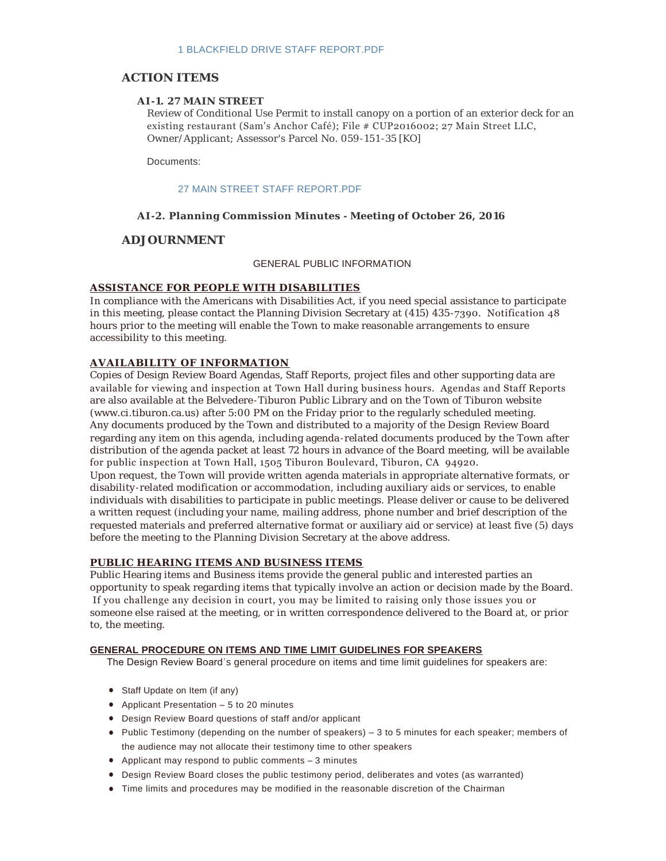# **ACTION ITEMS**

#### **AI-1. 27 MAIN STREET**

Review of Conditional Use Permit to install canopy on a portion of an exterior deck for an existing restaurant (Sam's Anchor Café); File # CUP2016002; 27 Main Street LLC, Owner/Applicant; Assessor's Parcel No. 059-151 -35 [KO]

Documents:

#### [27 MAIN STREET STAFF REPORT.PDF](http://townoftiburon.org/AgendaCenter/ViewFile/Item/2393?fileID=1319)

#### **AI-2. Planning Commission Minutes - Meeting of October 26, 2016**

# **ADJOURNMENT**

#### GENERAL PUBLIC INFORMATION

#### **ASSISTANCE FOR PEOPLE WITH DISABILITIES**

In compliance with the Americans with Disabilities Act, if you need special assistance to participate in this meeting, please contact the Planning Division Secretary at (415) 435 -7390. Notification 48 hours prior to the meeting will enable the Town to make reasonable arrangements to ensure accessibility to this meeting.

### **AVAILABILITY OF INFORMATION**

Copies of Design Review Board Agendas, Staff Reports, project files and other supporting data are available for viewing and inspection at Town Hall during business hours. Agendas and Staff Reports are also available at the Belvedere -Tiburon Public Library and on the Town of Tiburon website (www.ci.tiburon.ca.us) after 5:00 PM on the Friday prior to the regularly scheduled meeting. Any documents produced by the Town and distributed to a majority of the Design Review Board regarding any item on this agenda, including agenda -related documents produced by the Town after distribution of the agenda packet at least 72 hours in advance of the Board meeting, will be available for public inspection at Town Hall, 1505 Tiburon Boulevard, Tiburon, CA 94920. Upon request, the Town will provide written agenda materials in appropriate alternative formats, or

disability -related modification or accommodation, including auxiliary aids or services, to enable individuals with disabilities to participate in public meetings. Please deliver or cause to be delivered a written request (including your name, mailing address, phone number and brief description of the requested materials and preferred alternative format or auxiliary aid or service) at least five (5) days before the meeting to the Planning Division Secretary at the above address.

#### **PUBLIC HEARING ITEMS AND BUSINESS ITEMS**

Public Hearing items and Business items provide the general public and interested parties an opportunity to speak regarding items that typically involve an action or decision made by the Board. If you challenge any decision in court, you may be limited to raising only those issues you or someone else raised at the meeting, or in written correspondence delivered to the Board at, or prior to, the meeting.

#### **GENERAL PROCEDURE ON ITEMS AND TIME LIMIT GUIDELINES FOR SPEAKERS**

The Design Review Board's general procedure on items and time limit guidelines for speakers are:

- Staff Update on Item (if any)
- Applicant Presentation  $-5$  to 20 minutes
- Design Review Board questions of staff and/or applicant
- Public Testimony (depending on the number of speakers) 3 to 5 minutes for each speaker; members of the audience may not allocate their testimony time to other speakers
- Applicant may respond to public comments  $-3$  minutes
- **•** Design Review Board closes the public testimony period, deliberates and votes (as warranted)
- $\bullet$  Time limits and procedures may be modified in the reasonable discretion of the Chairman